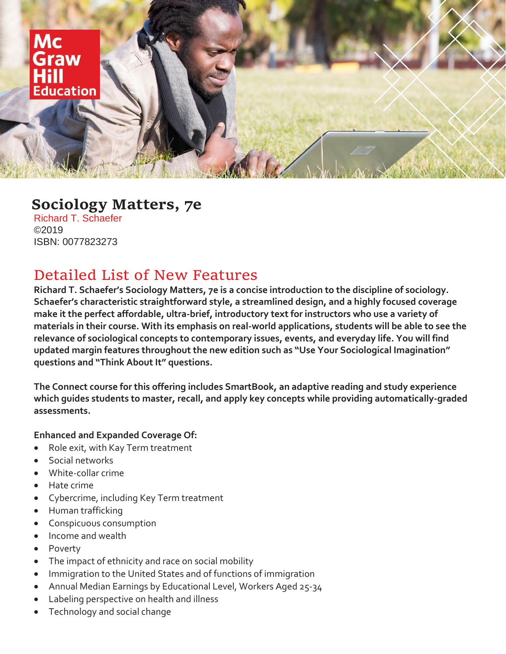

# **Sociology Matters, 7e**

Richard T. Schaefer ©2019 ISBN: 0077823273

# Detailed List of New Features

**Richard T. Schaefer's Sociology Matters, 7e is a concise introduction to the discipline of sociology. Schaefer's characteristic straightforward style, a streamlined design, and a highly focused coverage make it the perfect affordable, ultra-brief, introductory text for instructors who use a variety of materials in their course. With its emphasis on real-world applications, students will be able to see the relevance of sociological concepts to contemporary issues, events, and everyday life. You will find updated margin features throughout the new edition such as "Use Your Sociological Imagination" questions and "Think About It" questions.**

**The Connect course for this offering includes SmartBook, an adaptive reading and study experience which guides students to master, recall, and apply key concepts while providing automatically-graded assessments.**

### **Enhanced and Expanded Coverage Of:**

- Role exit, with Kay Term treatment
- Social networks
- White-collar crime
- Hate crime
- Cybercrime, including Key Term treatment
- Human trafficking
- Conspicuous consumption
- Income and wealth
- Poverty
- The impact of ethnicity and race on social mobility
- Immigration to the United States and of functions of immigration
- Annual Median Earnings by Educational Level, Workers Aged 25-34
- Labeling perspective on health and illness
- Technology and social change